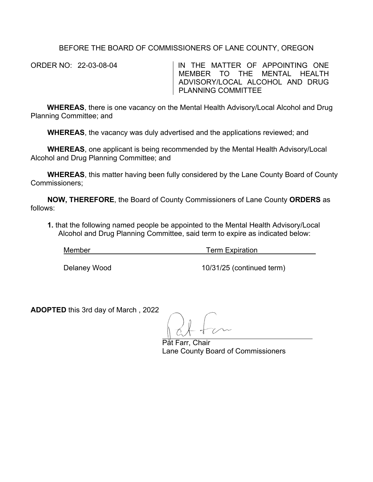## BEFORE THE BOARD OF COMMISSIONERS OF LANE COUNTY, OREGON

ORDER NO: 22-03-08-04 IN THE MATTER OF APPOINTING ONE MEMBER TO THE MENTAL HEALTH ADVISORY/LOCAL ALCOHOL AND DRUG PLANNING COMMITTEE

**WHEREAS**, there is one vacancy on the Mental Health Advisory/Local Alcohol and Drug Planning Committee; and

**WHEREAS**, the vacancy was duly advertised and the applications reviewed; and

**WHEREAS**, one applicant is being recommended by the Mental Health Advisory/Local Alcohol and Drug Planning Committee; and

**WHEREAS**, this matter having been fully considered by the Lane County Board of County Commissioners;

**NOW, THEREFORE**, the Board of County Commissioners of Lane County **ORDERS** as follows:

**1.** that the following named people be appointed to the Mental Health Advisory/Local Alcohol and Drug Planning Committee, said term to expire as indicated below:

Member **Term Expiration** 

Delaney Wood 2008 2009 10/31/25 (continued term)

**ADOPTED** this 3rd day of March , 2022

Påt Farr, Chair Lane County Board of Commissioners